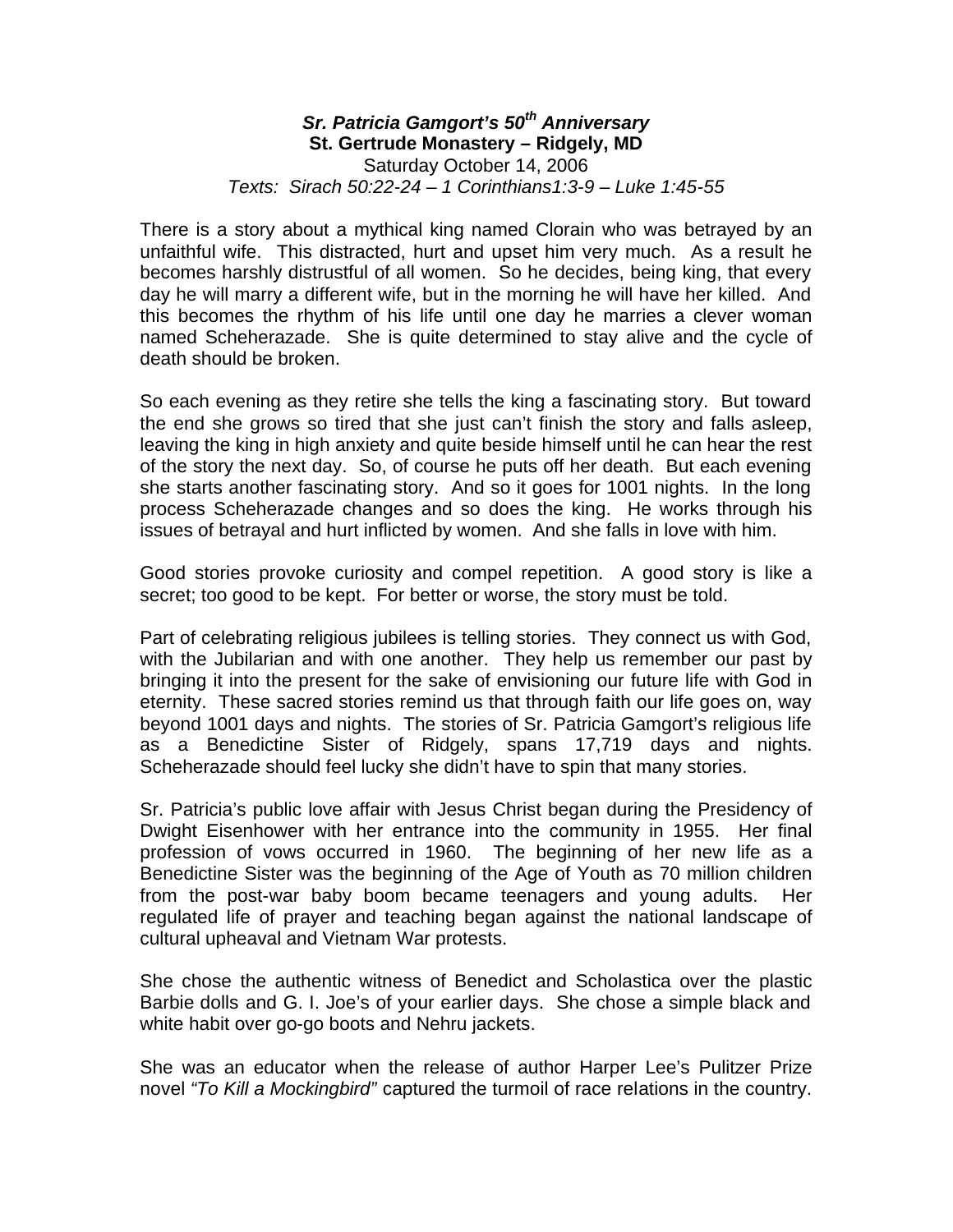## *Sr. Patricia Gamgort's 50th Anniversary* **St. Gertrude Monastery – Ridgely, MD** Saturday October 14, 2006 *Texts: Sirach 50:22-24 – 1 Corinthians1:3-9 – Luke 1:45-55*

There is a story about a mythical king named Clorain who was betrayed by an unfaithful wife. This distracted, hurt and upset him very much. As a result he becomes harshly distrustful of all women. So he decides, being king, that every day he will marry a different wife, but in the morning he will have her killed. And this becomes the rhythm of his life until one day he marries a clever woman named Scheherazade. She is quite determined to stay alive and the cycle of death should be broken.

So each evening as they retire she tells the king a fascinating story. But toward the end she grows so tired that she just can't finish the story and falls asleep, leaving the king in high anxiety and quite beside himself until he can hear the rest of the story the next day. So, of course he puts off her death. But each evening she starts another fascinating story. And so it goes for 1001 nights. In the long process Scheherazade changes and so does the king. He works through his issues of betrayal and hurt inflicted by women. And she falls in love with him.

Good stories provoke curiosity and compel repetition. A good story is like a secret; too good to be kept. For better or worse, the story must be told.

Part of celebrating religious jubilees is telling stories. They connect us with God, with the Jubilarian and with one another. They help us remember our past by bringing it into the present for the sake of envisioning our future life with God in eternity. These sacred stories remind us that through faith our life goes on, way beyond 1001 days and nights. The stories of Sr. Patricia Gamgort's religious life as a Benedictine Sister of Ridgely, spans 17,719 days and nights. Scheherazade should feel lucky she didn't have to spin that many stories.

Sr. Patricia's public love affair with Jesus Christ began during the Presidency of Dwight Eisenhower with her entrance into the community in 1955. Her final profession of vows occurred in 1960. The beginning of her new life as a Benedictine Sister was the beginning of the Age of Youth as 70 million children from the post-war baby boom became teenagers and young adults. Her regulated life of prayer and teaching began against the national landscape of cultural upheaval and Vietnam War protests.

She chose the authentic witness of Benedict and Scholastica over the plastic Barbie dolls and G. I. Joe's of your earlier days. She chose a simple black and white habit over go-go boots and Nehru jackets.

She was an educator when the release of author Harper Lee's Pulitzer Prize novel *"To Kill a Mockingbird"* captured the turmoil of race relations in the country.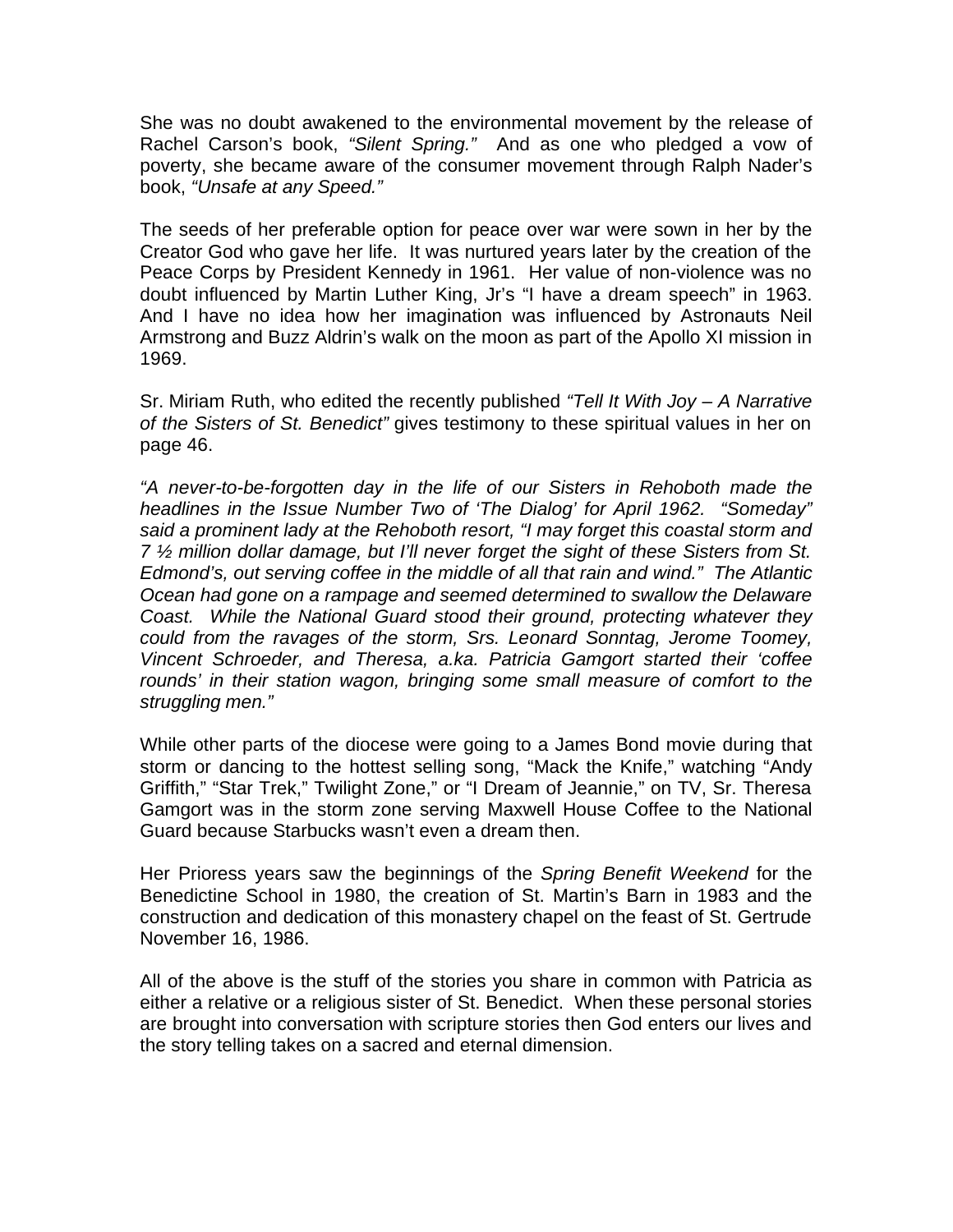She was no doubt awakened to the environmental movement by the release of Rachel Carson's book, *"Silent Spring."* And as one who pledged a vow of poverty, she became aware of the consumer movement through Ralph Nader's book, *"Unsafe at any Speed."* 

The seeds of her preferable option for peace over war were sown in her by the Creator God who gave her life. It was nurtured years later by the creation of the Peace Corps by President Kennedy in 1961. Her value of non-violence was no doubt influenced by Martin Luther King, Jr's "I have a dream speech" in 1963. And I have no idea how her imagination was influenced by Astronauts Neil Armstrong and Buzz Aldrin's walk on the moon as part of the Apollo XI mission in 1969.

Sr. Miriam Ruth, who edited the recently published *"Tell It With Joy – A Narrative of the Sisters of St. Benedict"* gives testimony to these spiritual values in her on page 46.

*"A never-to-be-forgotten day in the life of our Sisters in Rehoboth made the headlines in the Issue Number Two of 'The Dialog' for April 1962. "Someday" said a prominent lady at the Rehoboth resort, "I may forget this coastal storm and 7 ½ million dollar damage, but I'll never forget the sight of these Sisters from St. Edmond's, out serving coffee in the middle of all that rain and wind." The Atlantic Ocean had gone on a rampage and seemed determined to swallow the Delaware Coast. While the National Guard stood their ground, protecting whatever they could from the ravages of the storm, Srs. Leonard Sonntag, Jerome Toomey, Vincent Schroeder, and Theresa, a.ka. Patricia Gamgort started their 'coffee rounds' in their station wagon, bringing some small measure of comfort to the struggling men."* 

While other parts of the diocese were going to a James Bond movie during that storm or dancing to the hottest selling song, "Mack the Knife," watching "Andy Griffith," "Star Trek," Twilight Zone," or "I Dream of Jeannie," on TV, Sr. Theresa Gamgort was in the storm zone serving Maxwell House Coffee to the National Guard because Starbucks wasn't even a dream then.

Her Prioress years saw the beginnings of the *Spring Benefit Weekend* for the Benedictine School in 1980, the creation of St. Martin's Barn in 1983 and the construction and dedication of this monastery chapel on the feast of St. Gertrude November 16, 1986.

All of the above is the stuff of the stories you share in common with Patricia as either a relative or a religious sister of St. Benedict. When these personal stories are brought into conversation with scripture stories then God enters our lives and the story telling takes on a sacred and eternal dimension.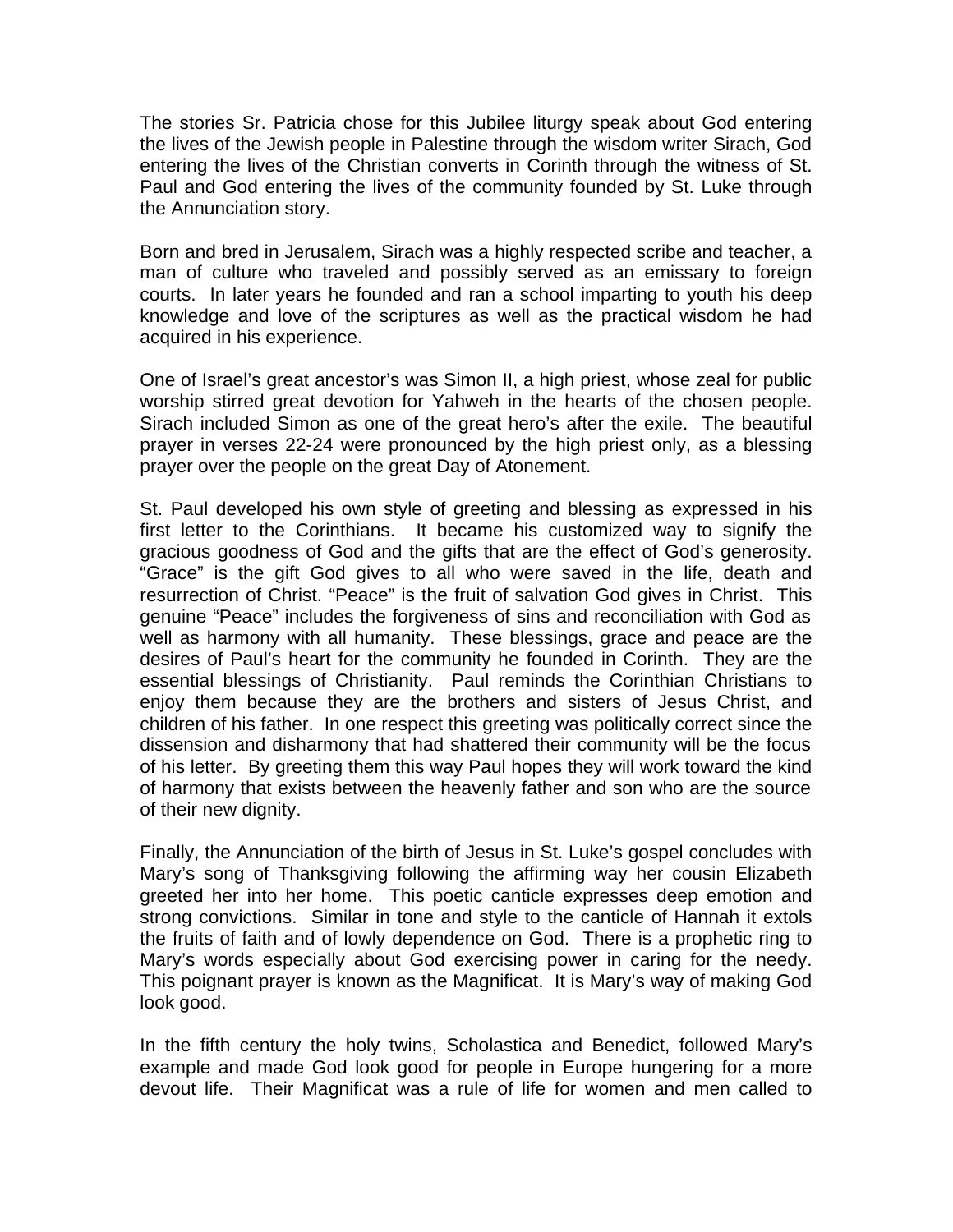The stories Sr. Patricia chose for this Jubilee liturgy speak about God entering the lives of the Jewish people in Palestine through the wisdom writer Sirach, God entering the lives of the Christian converts in Corinth through the witness of St. Paul and God entering the lives of the community founded by St. Luke through the Annunciation story.

Born and bred in Jerusalem, Sirach was a highly respected scribe and teacher, a man of culture who traveled and possibly served as an emissary to foreign courts. In later years he founded and ran a school imparting to youth his deep knowledge and love of the scriptures as well as the practical wisdom he had acquired in his experience.

One of Israel's great ancestor's was Simon II, a high priest, whose zeal for public worship stirred great devotion for Yahweh in the hearts of the chosen people. Sirach included Simon as one of the great hero's after the exile. The beautiful prayer in verses 22-24 were pronounced by the high priest only, as a blessing prayer over the people on the great Day of Atonement.

St. Paul developed his own style of greeting and blessing as expressed in his first letter to the Corinthians. It became his customized way to signify the gracious goodness of God and the gifts that are the effect of God's generosity. "Grace" is the gift God gives to all who were saved in the life, death and resurrection of Christ. "Peace" is the fruit of salvation God gives in Christ. This genuine "Peace" includes the forgiveness of sins and reconciliation with God as well as harmony with all humanity. These blessings, grace and peace are the desires of Paul's heart for the community he founded in Corinth. They are the essential blessings of Christianity. Paul reminds the Corinthian Christians to enjoy them because they are the brothers and sisters of Jesus Christ, and children of his father. In one respect this greeting was politically correct since the dissension and disharmony that had shattered their community will be the focus of his letter. By greeting them this way Paul hopes they will work toward the kind of harmony that exists between the heavenly father and son who are the source of their new dignity.

Finally, the Annunciation of the birth of Jesus in St. Luke's gospel concludes with Mary's song of Thanksgiving following the affirming way her cousin Elizabeth greeted her into her home. This poetic canticle expresses deep emotion and strong convictions. Similar in tone and style to the canticle of Hannah it extols the fruits of faith and of lowly dependence on God. There is a prophetic ring to Mary's words especially about God exercising power in caring for the needy. This poignant prayer is known as the Magnificat. It is Mary's way of making God look good.

In the fifth century the holy twins, Scholastica and Benedict, followed Mary's example and made God look good for people in Europe hungering for a more devout life. Their Magnificat was a rule of life for women and men called to